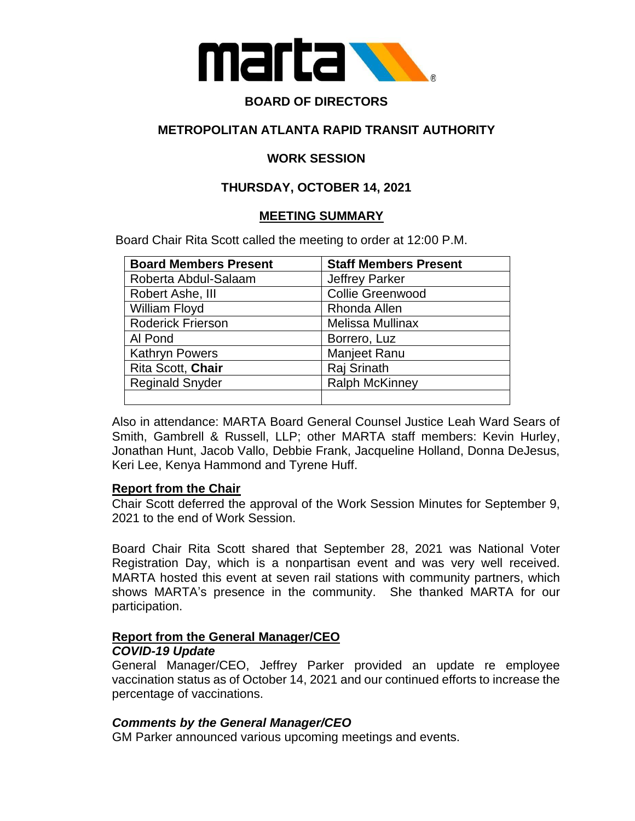

# **BOARD OF DIRECTORS**

### **METROPOLITAN ATLANTA RAPID TRANSIT AUTHORITY**

### **WORK SESSION**

## **THURSDAY, OCTOBER 14, 2021**

### **MEETING SUMMARY**

Board Chair Rita Scott called the meeting to order at 12:00 P.M.

| <b>Board Members Present</b> | <b>Staff Members Present</b> |
|------------------------------|------------------------------|
| Roberta Abdul-Salaam         | <b>Jeffrey Parker</b>        |
| Robert Ashe, III             | <b>Collie Greenwood</b>      |
| William Floyd                | Rhonda Allen                 |
| <b>Roderick Frierson</b>     | <b>Melissa Mullinax</b>      |
| Al Pond                      | Borrero, Luz                 |
| <b>Kathryn Powers</b>        | <b>Manjeet Ranu</b>          |
| Rita Scott, Chair            | Raj Srinath                  |
| <b>Reginald Snyder</b>       | <b>Ralph McKinney</b>        |
|                              |                              |

Also in attendance: MARTA Board General Counsel Justice Leah Ward Sears of Smith, Gambrell & Russell, LLP; other MARTA staff members: Kevin Hurley, Jonathan Hunt, Jacob Vallo, Debbie Frank, Jacqueline Holland, Donna DeJesus, Keri Lee, Kenya Hammond and Tyrene Huff.

### **Report from the Chair**

Chair Scott deferred the approval of the Work Session Minutes for September 9, 2021 to the end of Work Session.

Board Chair Rita Scott shared that September 28, 2021 was National Voter Registration Day, which is a nonpartisan event and was very well received. MARTA hosted this event at seven rail stations with community partners, which shows MARTA's presence in the community. She thanked MARTA for our participation.

#### **Report from the General Manager/CEO** *COVID-19 Update*

General Manager/CEO, Jeffrey Parker provided an update re employee vaccination status as of October 14, 2021 and our continued efforts to increase the percentage of vaccinations.

### *Comments by the General Manager/CEO*

GM Parker announced various upcoming meetings and events.